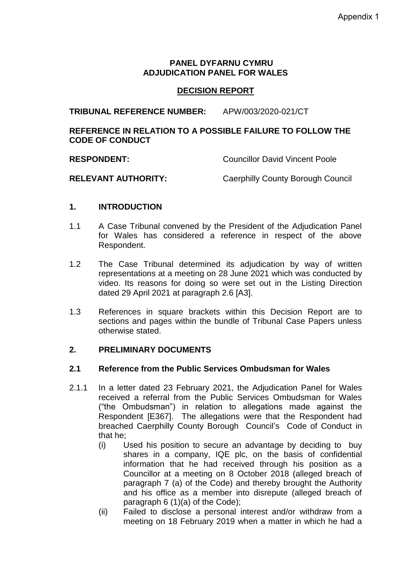### **PANEL DYFARNU CYMRU ADJUDICATION PANEL FOR WALES**

## **DECISION REPORT**

**TRIBUNAL REFERENCE NUMBER:** APW/003/2020-021/CT

## **REFERENCE IN RELATION TO A POSSIBLE FAILURE TO FOLLOW THE CODE OF CONDUCT**

**RESPONDENT:** Councillor David Vincent Poole

**RELEVANT AUTHORITY:** Caerphilly County Borough Council

## **1. INTRODUCTION**

- 1.1 A Case Tribunal convened by the President of the Adjudication Panel for Wales has considered a reference in respect of the above Respondent.
- 1.2 The Case Tribunal determined its adjudication by way of written representations at a meeting on 28 June 2021 which was conducted by video. Its reasons for doing so were set out in the Listing Direction dated 29 April 2021 at paragraph 2.6 [A3].
- 1.3 References in square brackets within this Decision Report are to sections and pages within the bundle of Tribunal Case Papers unless otherwise stated.

### **2. PRELIMINARY DOCUMENTS**

### **2.1 Reference from the Public Services Ombudsman for Wales**

- 2.1.1 In a letter dated 23 February 2021, the Adjudication Panel for Wales received a referral from the Public Services Ombudsman for Wales ("the Ombudsman") in relation to allegations made against the Respondent [E367]. The allegations were that the Respondent had breached Caerphilly County Borough Council's Code of Conduct in that he;
	- (i) Used his position to secure an advantage by deciding to buy shares in a company, IQE plc, on the basis of confidential information that he had received through his position as a Councillor at a meeting on 8 October 2018 (alleged breach of paragraph 7 (a) of the Code) and thereby brought the Authority and his office as a member into disrepute (alleged breach of paragraph 6 (1)(a) of the Code);
	- (ii) Failed to disclose a personal interest and/or withdraw from a meeting on 18 February 2019 when a matter in which he had a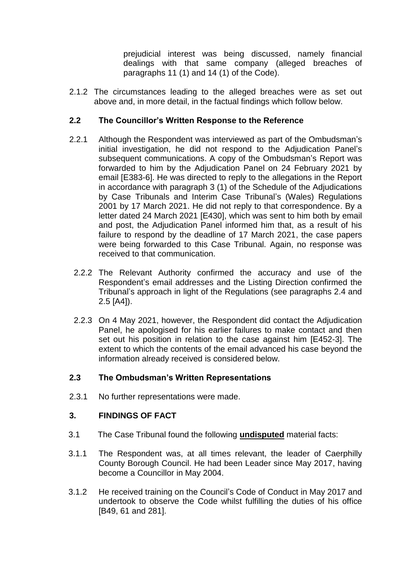prejudicial interest was being discussed, namely financial dealings with that same company (alleged breaches of paragraphs 11 (1) and 14 (1) of the Code).

2.1.2 The circumstances leading to the alleged breaches were as set out above and, in more detail, in the factual findings which follow below.

# **2.2 The Councillor's Written Response to the Reference**

- 2.2.1 Although the Respondent was interviewed as part of the Ombudsman's initial investigation, he did not respond to the Adjudication Panel's subsequent communications. A copy of the Ombudsman's Report was forwarded to him by the Adjudication Panel on 24 February 2021 by email [E383-6]. He was directed to reply to the allegations in the Report in accordance with paragraph 3 (1) of the Schedule of the Adjudications by Case Tribunals and Interim Case Tribunal's (Wales) Regulations 2001 by 17 March 2021. He did not reply to that correspondence. By a letter dated 24 March 2021 [E430], which was sent to him both by email and post, the Adjudication Panel informed him that, as a result of his failure to respond by the deadline of 17 March 2021, the case papers were being forwarded to this Case Tribunal. Again, no response was received to that communication.
	- 2.2.2 The Relevant Authority confirmed the accuracy and use of the Respondent's email addresses and the Listing Direction confirmed the Tribunal's approach in light of the Regulations (see paragraphs 2.4 and 2.5 [A4]).
- 2.2.3 On 4 May 2021, however, the Respondent did contact the Adjudication Panel, he apologised for his earlier failures to make contact and then set out his position in relation to the case against him [E452-3]. The extent to which the contents of the email advanced his case beyond the information already received is considered below.

## **2.3 The Ombudsman's Written Representations**

2.3.1 No further representations were made.

## **3. FINDINGS OF FACT**

- 3.1 The Case Tribunal found the following **undisputed** material facts:
- 3.1.1 The Respondent was, at all times relevant, the leader of Caerphilly County Borough Council. He had been Leader since May 2017, having become a Councillor in May 2004.
- 3.1.2 He received training on the Council's Code of Conduct in May 2017 and undertook to observe the Code whilst fulfilling the duties of his office [B49, 61 and 281].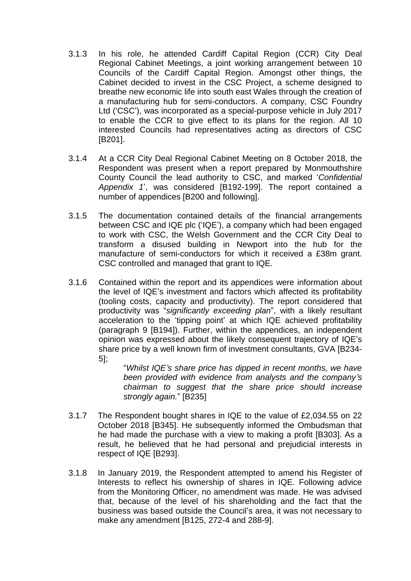- 3.1.3 In his role, he attended Cardiff Capital Region (CCR) City Deal Regional Cabinet Meetings, a joint working arrangement between 10 Councils of the Cardiff Capital Region. Amongst other things, the Cabinet decided to invest in the CSC Project, a scheme designed to breathe new economic life into south east Wales through the creation of a manufacturing hub for semi-conductors. A company, CSC Foundry Ltd ('CSC'), was incorporated as a special-purpose vehicle in July 2017 to enable the CCR to give effect to its plans for the region. All 10 interested Councils had representatives acting as directors of CSC [B201].
- 3.1.4 At a CCR City Deal Regional Cabinet Meeting on 8 October 2018, the Respondent was present when a report prepared by Monmouthshire County Council the lead authority to CSC, and marked '*Confidential Appendix 1*', was considered [B192-199]. The report contained a number of appendices [B200 and following].
- 3.1.5 The documentation contained details of the financial arrangements between CSC and IQE plc ('IQE'), a company which had been engaged to work with CSC, the Welsh Government and the CCR City Deal to transform a disused building in Newport into the hub for the manufacture of semi-conductors for which it received a £38m grant. CSC controlled and managed that grant to IQE.
- 3.1.6 Contained within the report and its appendices were information about the level of IQE's investment and factors which affected its profitability (tooling costs, capacity and productivity). The report considered that productivity was "*significantly exceeding plan*", with a likely resultant acceleration to the 'tipping point' at which IQE achieved profitability (paragraph 9 [B194]). Further, within the appendices, an independent opinion was expressed about the likely consequent trajectory of IQE's share price by a well known firm of investment consultants, GVA [B234- 5];

"*Whilst IQE's share price has dipped in recent months, we have been provided with evidence from analysts and the company's chairman to suggest that the share price should increase strongly again.*" [B235]

- 3.1.7 The Respondent bought shares in IQE to the value of £2,034.55 on 22 October 2018 [B345]. He subsequently informed the Ombudsman that he had made the purchase with a view to making a profit [B303]. As a result, he believed that he had personal and prejudicial interests in respect of IQE [B293].
- 3.1.8 In January 2019, the Respondent attempted to amend his Register of Interests to reflect his ownership of shares in IQE. Following advice from the Monitoring Officer, no amendment was made. He was advised that, because of the level of his shareholding and the fact that the business was based outside the Council's area, it was not necessary to make any amendment [B125, 272-4 and 288-9].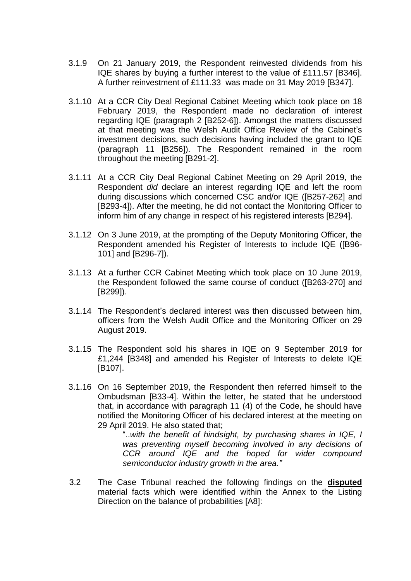- 3.1.9 On 21 January 2019, the Respondent reinvested dividends from his IQE shares by buying a further interest to the value of £111.57 [B346]. A further reinvestment of £111.33 was made on 31 May 2019 [B347].
- 3.1.10 At a CCR City Deal Regional Cabinet Meeting which took place on 18 February 2019, the Respondent made no declaration of interest regarding IQE (paragraph 2 [B252-6]). Amongst the matters discussed at that meeting was the Welsh Audit Office Review of the Cabinet's investment decisions, such decisions having included the grant to IQE (paragraph 11 [B256]). The Respondent remained in the room throughout the meeting [B291-2].
- 3.1.11 At a CCR City Deal Regional Cabinet Meeting on 29 April 2019, the Respondent *did* declare an interest regarding IQE and left the room during discussions which concerned CSC and/or IQE ([B257-262] and [B293-4]). After the meeting, he did not contact the Monitoring Officer to inform him of any change in respect of his registered interests [B294].
- 3.1.12 On 3 June 2019, at the prompting of the Deputy Monitoring Officer, the Respondent amended his Register of Interests to include IQE ([B96- 101] and [B296-7]).
- 3.1.13 At a further CCR Cabinet Meeting which took place on 10 June 2019, the Respondent followed the same course of conduct ([B263-270] and [B299]).
- 3.1.14 The Respondent's declared interest was then discussed between him, officers from the Welsh Audit Office and the Monitoring Officer on 29 August 2019.
- 3.1.15 The Respondent sold his shares in IQE on 9 September 2019 for £1,244 [B348] and amended his Register of Interests to delete IQE [B107].
- 3.1.16 On 16 September 2019, the Respondent then referred himself to the Ombudsman [B33-4]. Within the letter, he stated that he understood that, in accordance with paragraph 11 (4) of the Code, he should have notified the Monitoring Officer of his declared interest at the meeting on 29 April 2019. He also stated that;

"..*with the benefit of hindsight, by purchasing shares in IQE, I was preventing myself becoming involved in any decisions of CCR around IQE and the hoped for wider compound semiconductor industry growth in the area."*

3.2 The Case Tribunal reached the following findings on the **disputed** material facts which were identified within the Annex to the Listing Direction on the balance of probabilities [A8]: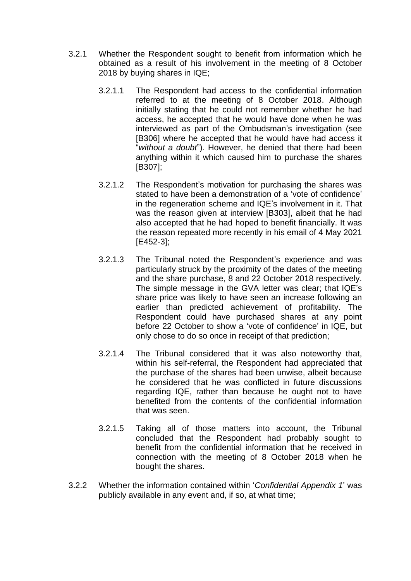- 3.2.1 Whether the Respondent sought to benefit from information which he obtained as a result of his involvement in the meeting of 8 October 2018 by buying shares in IQE;
	- 3.2.1.1 The Respondent had access to the confidential information referred to at the meeting of 8 October 2018. Although initially stating that he could not remember whether he had access, he accepted that he would have done when he was interviewed as part of the Ombudsman's investigation (see [B306] where he accepted that he would have had access it "*without a doubt*"). However, he denied that there had been anything within it which caused him to purchase the shares [B307];
	- 3.2.1.2 The Respondent's motivation for purchasing the shares was stated to have been a demonstration of a 'vote of confidence' in the regeneration scheme and IQE's involvement in it. That was the reason given at interview [B303], albeit that he had also accepted that he had hoped to benefit financially. It was the reason repeated more recently in his email of 4 May 2021 [E452-3];
	- 3.2.1.3 The Tribunal noted the Respondent's experience and was particularly struck by the proximity of the dates of the meeting and the share purchase, 8 and 22 October 2018 respectively. The simple message in the GVA letter was clear; that IQE's share price was likely to have seen an increase following an earlier than predicted achievement of profitability. The Respondent could have purchased shares at any point before 22 October to show a 'vote of confidence' in IQE, but only chose to do so once in receipt of that prediction;
	- 3.2.1.4 The Tribunal considered that it was also noteworthy that, within his self-referral, the Respondent had appreciated that the purchase of the shares had been unwise, albeit because he considered that he was conflicted in future discussions regarding IQE, rather than because he ought not to have benefited from the contents of the confidential information that was seen.
	- 3.2.1.5 Taking all of those matters into account, the Tribunal concluded that the Respondent had probably sought to benefit from the confidential information that he received in connection with the meeting of 8 October 2018 when he bought the shares.
- 3.2.2 Whether the information contained within '*Confidential Appendix 1*' was publicly available in any event and, if so, at what time;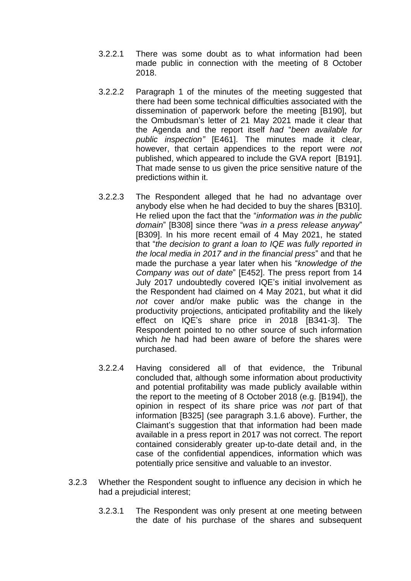- 3.2.2.1 There was some doubt as to what information had been made public in connection with the meeting of 8 October 2018.
- 3.2.2.2 Paragraph 1 of the minutes of the meeting suggested that there had been some technical difficulties associated with the dissemination of paperwork before the meeting [B190], but the Ombudsman's letter of 21 May 2021 made it clear that the Agenda and the report itself *had* "*been available for public inspection"* [E461]. The minutes made it clear, however, that certain appendices to the report were *not* published, which appeared to include the GVA report [B191]. That made sense to us given the price sensitive nature of the predictions within it.
- 3.2.2.3 The Respondent alleged that he had no advantage over anybody else when he had decided to buy the shares [B310]. He relied upon the fact that the "*information was in the public domain*" [B308] since there "*was in a press release anyway*" [B309]. In his more recent email of 4 May 2021, he stated that "*the decision to grant a loan to IQE was fully reported in the local media in 2017 and in the financial press*" and that he made the purchase a year later when his "*knowledge of the Company was out of date*" [E452]. The press report from 14 July 2017 undoubtedly covered IQE's initial involvement as the Respondent had claimed on 4 May 2021, but what it did *not* cover and/or make public was the change in the productivity projections, anticipated profitability and the likely effect on IQE's share price in 2018 [B341-3]. The Respondent pointed to no other source of such information which *he* had had been aware of before the shares were purchased.
- 3.2.2.4 Having considered all of that evidence, the Tribunal concluded that, although some information about productivity and potential profitability was made publicly available within the report to the meeting of 8 October 2018 (e.g. [B194]), the opinion in respect of its share price was *not* part of that information [B325] (see paragraph 3.1.6 above). Further, the Claimant's suggestion that that information had been made available in a press report in 2017 was not correct. The report contained considerably greater up-to-date detail and, in the case of the confidential appendices, information which was potentially price sensitive and valuable to an investor.
- 3.2.3 Whether the Respondent sought to influence any decision in which he had a prejudicial interest;
	- 3.2.3.1 The Respondent was only present at one meeting between the date of his purchase of the shares and subsequent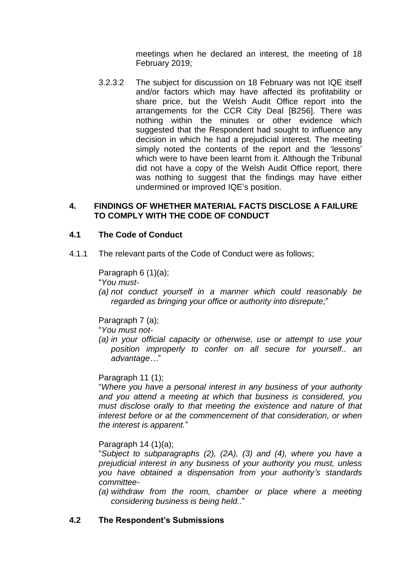meetings when he declared an interest, the meeting of 18 February 2019;

3.2.3.2 The subject for discussion on 18 February was not IQE itself and/or factors which may have affected its profitability or share price, but the Welsh Audit Office report into the arrangements for the CCR City Deal [B256]. There was nothing within the minutes or other evidence which suggested that the Respondent had sought to influence any decision in which he had a prejudicial interest. The meeting simply noted the contents of the report and the 'lessons' which were to have been learnt from it. Although the Tribunal did not have a copy of the Welsh Audit Office report, there was nothing to suggest that the findings may have either undermined or improved IQE's position.

#### **4. FINDINGS OF WHETHER MATERIAL FACTS DISCLOSE A FAILURE TO COMPLY WITH THE CODE OF CONDUCT**

## **4.1 The Code of Conduct**

4.1.1 The relevant parts of the Code of Conduct were as follows;

Paragraph 6 (1)(a);

"*You must-*

*(a) not conduct yourself in a manner which could reasonably be regarded as bringing your office or authority into disrepute;*"

Paragraph 7 (a);

"*You must not-*

*(a) in your official capacity or otherwise, use or attempt to use your position improperly to confer on all secure for yourself.. an advantage…*"

### Paragraph 11 (1);

"*Where you have a personal interest in any business of your authority and you attend a meeting at which that business is considered, you must disclose orally to that meeting the existence and nature of that interest before or at the commencement of that consideration, or when the interest is apparent.*"

### Paragraph 14 (1)(a);

"*Subject to subparagraphs (2), (2A), (3) and (4), where you have a prejudicial interest in any business of your authority you must, unless you have obtained a dispensation from your authority's standards committee-*

*(a) withdraw from the room, chamber or place where a meeting considering business is being held..*"

### **4.2 The Respondent's Submissions**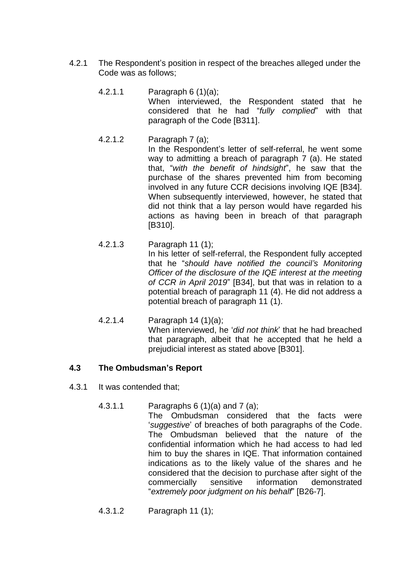- 4.2.1 The Respondent's position in respect of the breaches alleged under the Code was as follows;
	- 4.2.1.1 Paragraph 6 (1)(a); When interviewed, the Respondent stated that he considered that he had "*fully complied*" with that paragraph of the Code [B311].
	- 4.2.1.2 Paragraph 7 (a); In the Respondent's letter of self-referral, he went some way to admitting a breach of paragraph 7 (a). He stated that, "*with the benefit of hindsight*", he saw that the purchase of the shares prevented him from becoming involved in any future CCR decisions involving IQE [B34]. When subsequently interviewed, however, he stated that did not think that a lay person would have regarded his actions as having been in breach of that paragraph [B310].
	- 4.2.1.3 Paragraph 11 (1); In his letter of self-referral, the Respondent fully accepted that he "*should have notified the council's Monitoring Officer of the disclosure of the IQE interest at the meeting of CCR in April 2019*" [B34], but that was in relation to a potential breach of paragraph 11 (4). He did not address a potential breach of paragraph 11 (1).
	- 4.2.1.4 Paragraph 14 (1)(a); When interviewed, he '*did not think*' that he had breached that paragraph, albeit that he accepted that he held a prejudicial interest as stated above [B301].

## **4.3 The Ombudsman's Report**

- 4.3.1 It was contended that;
	- 4.3.1.1 Paragraphs 6 (1)(a) and 7 (a);

The Ombudsman considered that the facts were '*suggestive*' of breaches of both paragraphs of the Code. The Ombudsman believed that the nature of the confidential information which he had access to had led him to buy the shares in IQE. That information contained indications as to the likely value of the shares and he considered that the decision to purchase after sight of the commercially sensitive information demonstrated "*extremely poor judgment on his behalf*" [B26-7].

4.3.1.2 Paragraph 11 (1);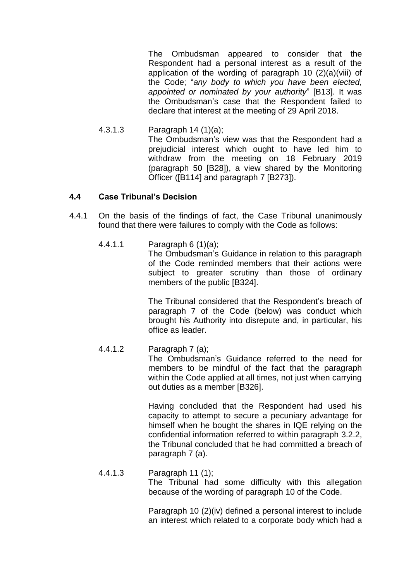The Ombudsman appeared to consider that the Respondent had a personal interest as a result of the application of the wording of paragraph 10 (2)(a)(viii) of the Code; "*any body to which you have been elected, appointed or nominated by your authority*" [B13]. It was the Ombudsman's case that the Respondent failed to declare that interest at the meeting of 29 April 2018.

4.3.1.3 Paragraph 14 (1)(a); The Ombudsman's view was that the Respondent had a prejudicial interest which ought to have led him to withdraw from the meeting on 18 February 2019 (paragraph 50 [B28]), a view shared by the Monitoring Officer ([B114] and paragraph 7 [B273]).

### **4.4 Case Tribunal's Decision**

- 4.4.1 On the basis of the findings of fact, the Case Tribunal unanimously found that there were failures to comply with the Code as follows:
	- 4.4.1.1 Paragraph 6 (1)(a);

The Ombudsman's Guidance in relation to this paragraph of the Code reminded members that their actions were subject to greater scrutiny than those of ordinary members of the public [B324].

The Tribunal considered that the Respondent's breach of paragraph 7 of the Code (below) was conduct which brought his Authority into disrepute and, in particular, his office as leader.

4.4.1.2 Paragraph 7 (a);

The Ombudsman's Guidance referred to the need for members to be mindful of the fact that the paragraph within the Code applied at all times, not just when carrying out duties as a member [B326].

Having concluded that the Respondent had used his capacity to attempt to secure a pecuniary advantage for himself when he bought the shares in IQE relying on the confidential information referred to within paragraph 3.2.2, the Tribunal concluded that he had committed a breach of paragraph 7 (a).

4.4.1.3 Paragraph 11 (1);

The Tribunal had some difficulty with this allegation because of the wording of paragraph 10 of the Code.

Paragraph 10 (2)(iv) defined a personal interest to include an interest which related to a corporate body which had a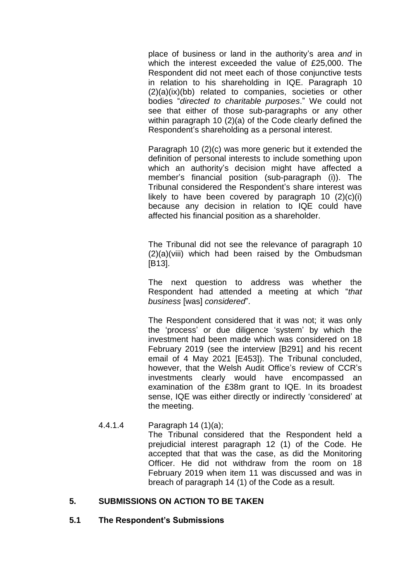place of business or land in the authority's area *and* in which the interest exceeded the value of £25,000. The Respondent did not meet each of those conjunctive tests in relation to his shareholding in IQE. Paragraph 10 (2)(a)(ix)(bb) related to companies, societies or other bodies "*directed to charitable purposes*." We could not see that either of those sub-paragraphs or any other within paragraph 10 (2)(a) of the Code clearly defined the Respondent's shareholding as a personal interest.

Paragraph 10 (2)(c) was more generic but it extended the definition of personal interests to include something upon which an authority's decision might have affected a member's financial position (sub-paragraph (i)). The Tribunal considered the Respondent's share interest was likely to have been covered by paragraph 10 (2)(c)(i) because any decision in relation to IQE could have affected his financial position as a shareholder.

The Tribunal did not see the relevance of paragraph 10 (2)(a)(viii) which had been raised by the Ombudsman [B13].

The next question to address was whether the Respondent had attended a meeting at which "*that business* [was] *considered*".

The Respondent considered that it was not; it was only the 'process' or due diligence 'system' by which the investment had been made which was considered on 18 February 2019 (see the interview [B291] and his recent email of 4 May 2021 [E453]). The Tribunal concluded, however, that the Welsh Audit Office's review of CCR's investments clearly would have encompassed an examination of the £38m grant to IQE. In its broadest sense, IQE was either directly or indirectly 'considered' at the meeting.

4.4.1.4 Paragraph 14 (1)(a); The Tribunal considered that the Respondent held a prejudicial interest paragraph 12 (1) of the Code. He accepted that that was the case, as did the Monitoring Officer. He did not withdraw from the room on 18 February 2019 when item 11 was discussed and was in breach of paragraph 14 (1) of the Code as a result.

## **5. SUBMISSIONS ON ACTION TO BE TAKEN**

**5.1 The Respondent's Submissions**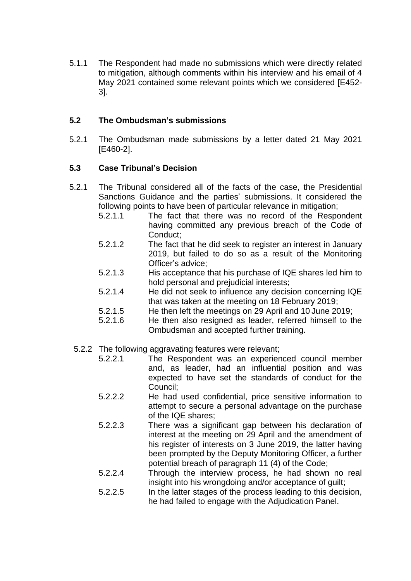5.1.1 The Respondent had made no submissions which were directly related to mitigation, although comments within his interview and his email of 4 May 2021 contained some relevant points which we considered [E452- 3].

# **5.2 The Ombudsman's submissions**

5.2.1 The Ombudsman made submissions by a letter dated 21 May 2021 [E460-2].

## **5.3 Case Tribunal's Decision**

- 5.2.1 The Tribunal considered all of the facts of the case, the Presidential Sanctions Guidance and the parties' submissions. It considered the following points to have been of particular relevance in mitigation;
	- 5.2.1.1 The fact that there was no record of the Respondent having committed any previous breach of the Code of Conduct:
	- 5.2.1.2 The fact that he did seek to register an interest in January 2019, but failed to do so as a result of the Monitoring Officer's advice;
	- 5.2.1.3 His acceptance that his purchase of IQE shares led him to hold personal and prejudicial interests;
	- 5.2.1.4 He did not seek to influence any decision concerning IQE that was taken at the meeting on 18 February 2019;
	- 5.2.1.5 He then left the meetings on 29 April and 10 June 2019;
	- 5.2.1.6 He then also resigned as leader, referred himself to the Ombudsman and accepted further training.
	- 5.2.2 The following aggravating features were relevant;
		- 5.2.2.1 The Respondent was an experienced council member and, as leader, had an influential position and was expected to have set the standards of conduct for the Council;
		- 5.2.2.2 He had used confidential, price sensitive information to attempt to secure a personal advantage on the purchase of the IQE shares;
		- 5.2.2.3 There was a significant gap between his declaration of interest at the meeting on 29 April and the amendment of his register of interests on 3 June 2019, the latter having been prompted by the Deputy Monitoring Officer, a further potential breach of paragraph 11 (4) of the Code;
		- 5.2.2.4 Through the interview process, he had shown no real insight into his wrongdoing and/or acceptance of guilt;
		- 5.2.2.5 In the latter stages of the process leading to this decision, he had failed to engage with the Adjudication Panel.